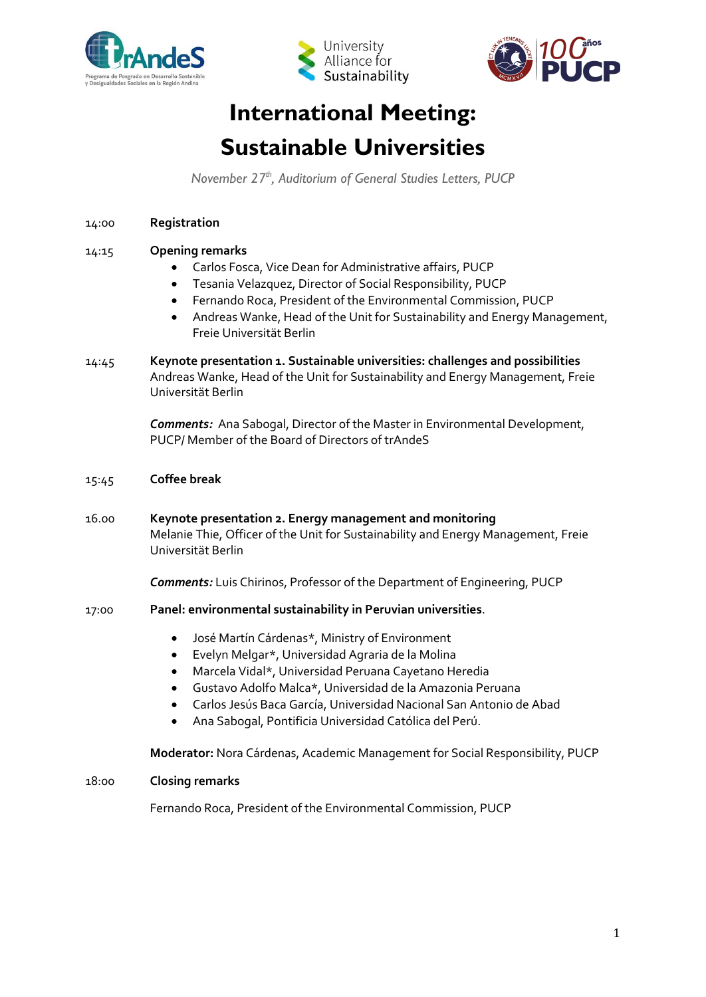





# **International Meeting: Sustainable Universities**

*November 27th , Auditorium of General Studies Letters, PUCP*

### 14:00 **Registration**

## 14:15 **Opening remarks**

- Carlos Fosca, Vice Dean for Administrative affairs, PUCP
- Tesania Velazquez, Director of Social Responsibility, PUCP
- Fernando Roca, President of the Environmental Commission, PUCP
- Andreas Wanke, Head of the Unit for Sustainability and Energy Management, Freie Universität Berlin
- 14:45 **Keynote presentation 1. Sustainable universities: challenges and possibilities** Andreas Wanke, Head of the Unit for Sustainability and Energy Management, Freie Universität Berlin

*Comments:* Ana Sabogal, Director of the Master in Environmental Development, PUCP/ Member of the Board of Directors of trAndeS

- 15:45 **Coffee break**
- 16.00 **Keynote presentation 2. Energy management and monitoring** Melanie Thie, Officer of the Unit for Sustainability and Energy Management, Freie Universität Berlin

*Comments:* Luis Chirinos, Professor of the Department of Engineering, PUCP

#### 17:00 **Panel: environmental sustainability in Peruvian universities**.

- José Martín Cárdenas\*, Ministry of Environment
- Evelyn Melgar\*, Universidad Agraria de la Molina
- Marcela Vidal\*, Universidad Peruana Cayetano Heredia
- Gustavo Adolfo Malca\*, Universidad de la Amazonia Peruana
- Carlos Jesús Baca García, Universidad Nacional San Antonio de Abad
- Ana Sabogal, Pontificia Universidad Católica del Perú.

**Moderator:** Nora Cárdenas, Academic Management for Social Responsibility, PUCP

#### 18:00 **Closing remarks**

Fernando Roca, President of the Environmental Commission, PUCP